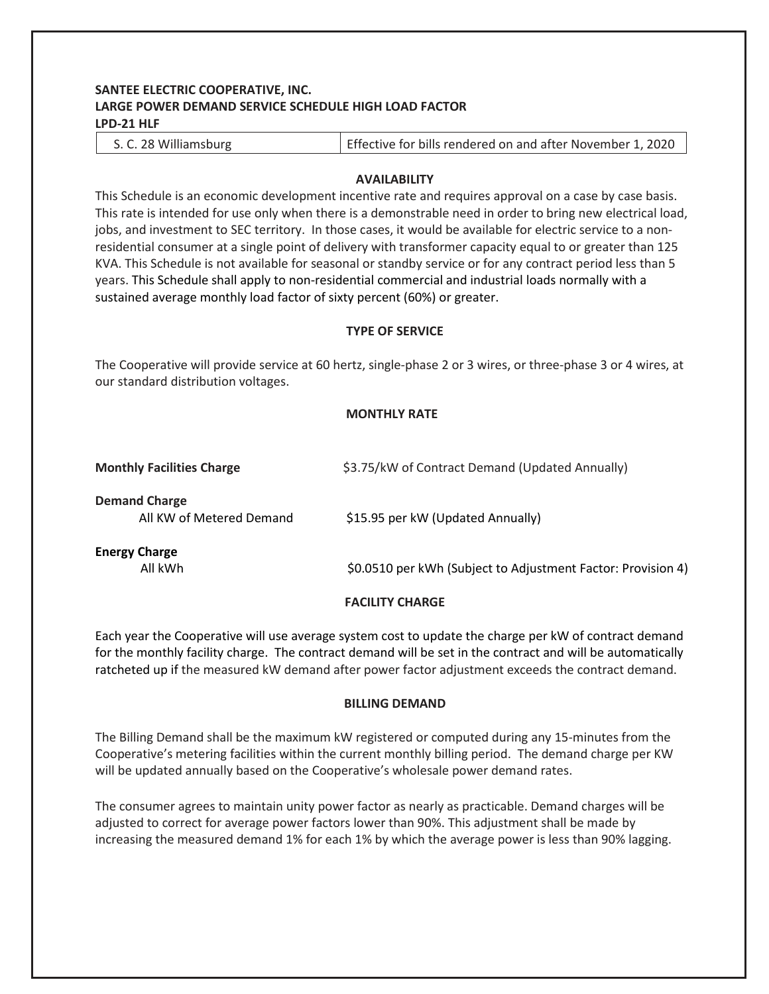# **SANTEE ELECTRIC COOPERATIVE, INC. LARGE POWER DEMAND SERVICE SCHEDULE HIGH LOAD FACTOR LPD-21 HLF**

|--|

# **AVAILABILITY**

This Schedule is an economic development incentive rate and requires approval on a case by case basis. This rate is intended for use only when there is a demonstrable need in order to bring new electrical load, jobs, and investment to SEC territory. In those cases, it would be available for electric service to a nonresidential consumer at a single point of delivery with transformer capacity equal to or greater than 125 KVA. This Schedule is not available for seasonal or standby service or for any contract period less than 5 years. This Schedule shall apply to non-residential commercial and industrial loads normally with a sustained average monthly load factor of sixty percent (60%) or greater.

# **TYPE OF SERVICE**

The Cooperative will provide service at 60 hertz, single-phase 2 or 3 wires, or three-phase 3 or 4 wires, at our standard distribution voltages.

# **MONTHLY RATE**

| <b>Monthly Facilities Charge</b>                 | \$3.75/kW of Contract Demand (Updated Annually)              |
|--------------------------------------------------|--------------------------------------------------------------|
| <b>Demand Charge</b><br>All KW of Metered Demand | \$15.95 per kW (Updated Annually)                            |
| <b>Energy Charge</b><br>All kWh                  | \$0.0510 per kWh (Subject to Adjustment Factor: Provision 4) |
|                                                  | <b>FACILITY CHARGE</b>                                       |

Each year the Cooperative will use average system cost to update the charge per kW of contract demand for the monthly facility charge. The contract demand will be set in the contract and will be automatically ratcheted up if the measured kW demand after power factor adjustment exceeds the contract demand.

# **BILLING DEMAND**

The Billing Demand shall be the maximum kW registered or computed during any 15-minutes from the Cooperative's metering facilities within the current monthly billing period. The demand charge per KW will be updated annually based on the Cooperative's wholesale power demand rates.

The consumer agrees to maintain unity power factor as nearly as practicable. Demand charges will be adjusted to correct for average power factors lower than 90%. This adjustment shall be made by increasing the measured demand 1% for each 1% by which the average power is less than 90% lagging.